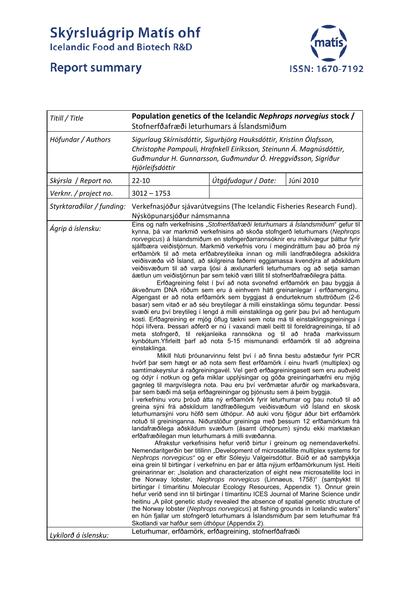## Skýrsluágrip Matís ohf<br>Icelandic Food and Biotech R&D

## **Report summary**



| Titill / Title            | Population genetics of the Icelandic Nephrops norvegius stock /<br>Stofnerfðafræði leturhumars á Íslandsmiðum                                                                                                                                                                                                                                                                                                                                                                                                                                                                                                                                                                                                                                                                                                                                                                                                                                                                                                                                                                                                                                                                                                                                                                                                                                                                                                                                                                                                                                                                                                                                                                                                                                                                                                                                                                                                                                                                                                                                                                                                                                                                                                                                                                                                                                                                                                                                                                                                                                                                                                                                                                                                                                                                                                                                                                                                                                                                                                                                                                                                                                                   |                                                                                                                                                 |                                                                         |
|---------------------------|-----------------------------------------------------------------------------------------------------------------------------------------------------------------------------------------------------------------------------------------------------------------------------------------------------------------------------------------------------------------------------------------------------------------------------------------------------------------------------------------------------------------------------------------------------------------------------------------------------------------------------------------------------------------------------------------------------------------------------------------------------------------------------------------------------------------------------------------------------------------------------------------------------------------------------------------------------------------------------------------------------------------------------------------------------------------------------------------------------------------------------------------------------------------------------------------------------------------------------------------------------------------------------------------------------------------------------------------------------------------------------------------------------------------------------------------------------------------------------------------------------------------------------------------------------------------------------------------------------------------------------------------------------------------------------------------------------------------------------------------------------------------------------------------------------------------------------------------------------------------------------------------------------------------------------------------------------------------------------------------------------------------------------------------------------------------------------------------------------------------------------------------------------------------------------------------------------------------------------------------------------------------------------------------------------------------------------------------------------------------------------------------------------------------------------------------------------------------------------------------------------------------------------------------------------------------------------------------------------------------------------------------------------------------------------------------------------------------------------------------------------------------------------------------------------------------------------------------------------------------------------------------------------------------------------------------------------------------------------------------------------------------------------------------------------------------------------------------------------------------------------------------------------------------|-------------------------------------------------------------------------------------------------------------------------------------------------|-------------------------------------------------------------------------|
| Höfundar / Authors        | Sigurlaug Skírnisdóttir, Sigurbjörg Hauksdóttir, Kristinn Ólafsson,<br>Christophe Pampouli, Hrafnkell Eiríksson, Steinunn Á. Magnúsdóttir,<br>Guðmundur H. Gunnarsson, Guðmundur Ó. Hreggviðsson, Sigríður<br>Hjörleifsdóttir                                                                                                                                                                                                                                                                                                                                                                                                                                                                                                                                                                                                                                                                                                                                                                                                                                                                                                                                                                                                                                                                                                                                                                                                                                                                                                                                                                                                                                                                                                                                                                                                                                                                                                                                                                                                                                                                                                                                                                                                                                                                                                                                                                                                                                                                                                                                                                                                                                                                                                                                                                                                                                                                                                                                                                                                                                                                                                                                   |                                                                                                                                                 |                                                                         |
| Skýrsla / Report no.      | $22 - 10$                                                                                                                                                                                                                                                                                                                                                                                                                                                                                                                                                                                                                                                                                                                                                                                                                                                                                                                                                                                                                                                                                                                                                                                                                                                                                                                                                                                                                                                                                                                                                                                                                                                                                                                                                                                                                                                                                                                                                                                                                                                                                                                                                                                                                                                                                                                                                                                                                                                                                                                                                                                                                                                                                                                                                                                                                                                                                                                                                                                                                                                                                                                                                       | Útgáfudagur / Date:                                                                                                                             | Júní 2010                                                               |
| Verknr. / project no.     | $3012 - 1753$                                                                                                                                                                                                                                                                                                                                                                                                                                                                                                                                                                                                                                                                                                                                                                                                                                                                                                                                                                                                                                                                                                                                                                                                                                                                                                                                                                                                                                                                                                                                                                                                                                                                                                                                                                                                                                                                                                                                                                                                                                                                                                                                                                                                                                                                                                                                                                                                                                                                                                                                                                                                                                                                                                                                                                                                                                                                                                                                                                                                                                                                                                                                                   |                                                                                                                                                 |                                                                         |
| Styrktaraðilar / funding: | Verkefnasjóður sjávarútvegsins (The Icelandic Fisheries Research Fund).<br>Nýsköpunarsjóður námsmanna                                                                                                                                                                                                                                                                                                                                                                                                                                                                                                                                                                                                                                                                                                                                                                                                                                                                                                                                                                                                                                                                                                                                                                                                                                                                                                                                                                                                                                                                                                                                                                                                                                                                                                                                                                                                                                                                                                                                                                                                                                                                                                                                                                                                                                                                                                                                                                                                                                                                                                                                                                                                                                                                                                                                                                                                                                                                                                                                                                                                                                                           |                                                                                                                                                 |                                                                         |
| Ágrip á íslensku:         | Eins og nafn verkefnisins "Stofnerfðafræði leturhumars á Íslandsmiðum" gefur til<br>kynna, þá var markmið verkefnisins að skoða stofngerð leturhumars (Nephrops<br>norvegicus) á Íslandsmiðum en stofngerðarrannsóknir eru mikilvægur þáttur fyrir<br>sjálfbæra veiðistjórnun. Markmið verkefnis voru í megindráttum þau að þróa ný<br>erfðamörk til að meta erfðabreytileika innan og milli landfræðilegra aðskildra<br>veiðisvæða við Ísland, að skilgreina faðerni eggjamassa kvendýra af aðskildum<br>veiðisvæðum til að varpa ljósi á æxlunarferli leturhumars og að setja saman<br>áætlun um veiðistjórnun þar sem tekið væri tillit til stofnerfðafræðilegra þátta.<br>ákveðnum DNA röðum sem eru á einhvern hátt greinanlegar í erfðamenginu.<br>Algengast er að nota erfðamörk sem byggjast á endurteknum stuttröðum (2-6<br>basar) sem vitað er að séu breytilegar á milli einstaklinga sömu tegundar. Þessi<br>svæði eru því breytileg í lengd á milli einstaklinga og gerir þau því að hentugum<br>kosti. Erfðagreining er mjög öflug tækni sem nota má til einstaklingsgreininga í<br>hópi lífvera. Þessari aðferð er nú í vaxandi mæli beitt til foreldragreininga, til að<br>meta stofngerð, til rekjanleika rannsókna og til að hraða markvissum<br>kynbótum. Yfirleitt þarf að nota 5-15 mismunandi erfðamörk til að aðgreina<br>einstaklinga.<br>hvörf þar sem hægt er að nota sem flest erfðamörk í einu hvarfi (multiplex) og<br>samtímakeyrslur á raðgreiningavél. Vel gerð erfðagreiningasett sem eru auðveld<br>og ódýr í notkun og gefa miklar upplýsingar og góða greiningarhæfni eru mjög<br>gagnleg til margvíslegra nota. Þau eru því verðmætar afurðir og markaðsvara,<br>bar sem bæði má selja erfðagreiningar og þjónustu sem á þeim byggja.<br>Í verkefninu voru þróuð átta ný erfðamörk fyrir leturhumar og þau notuð til að<br>greina sýni frá aðskildum landfræðilegum veiðisvæðum við Ísland en skosk<br>leturhumarsýni voru höfð sem úthópur. Að auki voru fjögur áður birt erfðamörk<br>notuð til greininganna. Niðurstöður greininga með þessum 12 erfðamörkum frá<br>landafræðilega aðskildum svæðum (ásamt úthópnum) sýndu ekki marktækan<br>erfðafræðilegan mun leturhumars á milli svæðanna.<br>Nemendaritgerðin ber titilinn "Development of microsatellite multiplex systems for<br>Nephrops norvegicus" og er eftir Sóleyju Valgeirsdóttur. Búið er að samþykkja<br>eina grein til birtingar í verkefninu en þar er átta nýjum erfðamörkunum lýst. Heiti<br>greinarinnar er: "Isolation and characterization of eight new microsatellite loci in<br>the Norway lobster, Nephrops norvegicus (Linnaeus, 1758)" (sambykkt til<br>birtingar í tímaritinu Molecular Ecology Resources, Appendix 1). Önnur grein<br>hefur verið send inn til birtingar í tímaritinu ICES Journal of Marine Science undir<br>heitinu "A pilot genetic study revealed the absence of spatial genetic structure of<br>the Norway lobster (Nephrops norvegicus) at fishing grounds in Icelandic waters"<br>en hún fjallar um stofngerð leturhumars á Íslandsmiðum þar sem leturhumar frá<br>Skotlandi var hafður sem úthópur (Appendix 2). | Erfðagreining felst í því að nota svonefnd erfðamörk en þau byggja á<br>Mikill hluti þróunarvinnu felst því í að finna bestu aðstæður fyrir PCR | Afrakstur verkefnisins hefur verið birtur í greinum og nemendaverkefni. |
| Lykilorð á íslensku:      | Leturhumar, erfðamörk, erfðagreining, stofnerfðafræði                                                                                                                                                                                                                                                                                                                                                                                                                                                                                                                                                                                                                                                                                                                                                                                                                                                                                                                                                                                                                                                                                                                                                                                                                                                                                                                                                                                                                                                                                                                                                                                                                                                                                                                                                                                                                                                                                                                                                                                                                                                                                                                                                                                                                                                                                                                                                                                                                                                                                                                                                                                                                                                                                                                                                                                                                                                                                                                                                                                                                                                                                                           |                                                                                                                                                 |                                                                         |